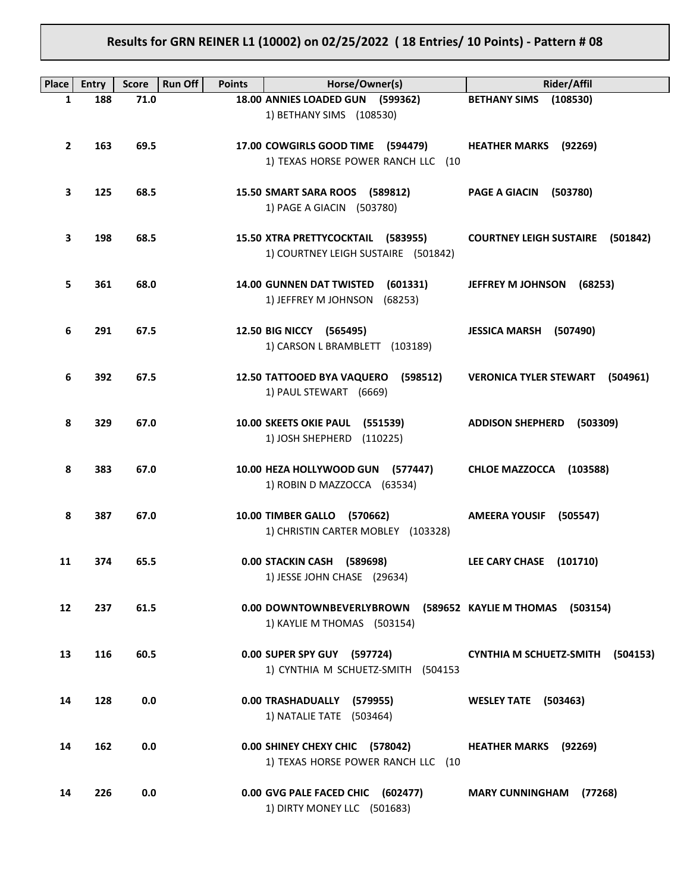## **Results for GRN REINER L1 (10002) on 02/25/2022 ( 18 Entries/ 10 Points) - Pattern # 08**

| Place        | <b>Entry</b> | <b>Run Off</b><br><b>Score</b> | <b>Points</b> | Horse/Owner(s)                                                            | Rider/Affil                                |
|--------------|--------------|--------------------------------|---------------|---------------------------------------------------------------------------|--------------------------------------------|
| 1            | 188          | 71.0                           |               | 18.00 ANNIES LOADED GUN (599362)                                          | BETHANY SIMS (108530)                      |
|              |              |                                |               | 1) BETHANY SIMS (108530)                                                  |                                            |
| $\mathbf{2}$ | 163          | 69.5                           |               | 17.00 COWGIRLS GOOD TIME (594479)<br>1) TEXAS HORSE POWER RANCH LLC (10   | <b>HEATHER MARKS (92269)</b>               |
| З            | 125          | 68.5                           |               | 15.50 SMART SARA ROOS (589812)<br>1) PAGE A GIACIN (503780)               | PAGE A GIACIN (503780)                     |
| З            | 198          | 68.5                           |               | 15.50 XTRA PRETTYCOCKTAIL (583955)<br>1) COURTNEY LEIGH SUSTAIRE (501842) | <b>COURTNEY LEIGH SUSTAIRE (501842)</b>    |
| 5            | 361          | 68.0                           |               | 14.00 GUNNEN DAT TWISTED (601331)<br>1) JEFFREY M JOHNSON (68253)         | JEFFREY M JOHNSON (68253)                  |
| 6            | 291          | 67.5                           |               | 12.50 BIG NICCY (565495)<br>1) CARSON L BRAMBLETT (103189)                | JESSICA MARSH (507490)                     |
| 6            | 392          | 67.5                           |               | 12.50 TATTOOED BYA VAQUERO (598512)<br>1) PAUL STEWART (6669)             | <b>VERONICA TYLER STEWART (504961)</b>     |
| 8            | 329          | 67.0                           |               | 10.00 SKEETS OKIE PAUL (551539)<br>1) JOSH SHEPHERD (110225)              | ADDISON SHEPHERD (503309)                  |
| 8            | 383          | 67.0                           |               | 10.00 HEZA HOLLYWOOD GUN (577447)<br>1) ROBIN D MAZZOCCA (63534)          | CHLOE MAZZOCCA (103588)                    |
| 8            | 387          | 67.0                           |               | 10.00 TIMBER GALLO (570662)<br>1) CHRISTIN CARTER MOBLEY (103328)         | AMEERA YOUSIF (505547)                     |
| 11           | 374          | 65.5                           |               | 0.00 STACKIN CASH (589698)<br>1) JESSE JOHN CHASE (29634)                 | LEE CARY CHASE (101710)                    |
| 12           | 237          | 61.5                           |               | 0.00 DOWNTOWNBEVERLYBROWN<br>1) KAYLIE M THOMAS (503154)                  | (589652 KAYLIE M THOMAS (503154)           |
| 13           | 116          | 60.5                           |               | 0.00 SUPER SPY GUY (597724)<br>1) CYNTHIA M SCHUETZ-SMITH (504153         | <b>CYNTHIA M SCHUETZ-SMITH</b><br>(504153) |
| 14           | 128          | 0.0                            |               | 0.00 TRASHADUALLY (579955)<br>1) NATALIE TATE (503464)                    | <b>WESLEY TATE (503463)</b>                |
| 14           | 162          | 0.0                            |               | 0.00 SHINEY CHEXY CHIC (578042)<br>1) TEXAS HORSE POWER RANCH LLC (10     | <b>HEATHER MARKS</b><br>(92269)            |
| 14           | 226          | 0.0                            |               | 0.00 GVG PALE FACED CHIC (602477)<br>1) DIRTY MONEY LLC (501683)          | <b>MARY CUNNINGHAM</b><br>(77268)          |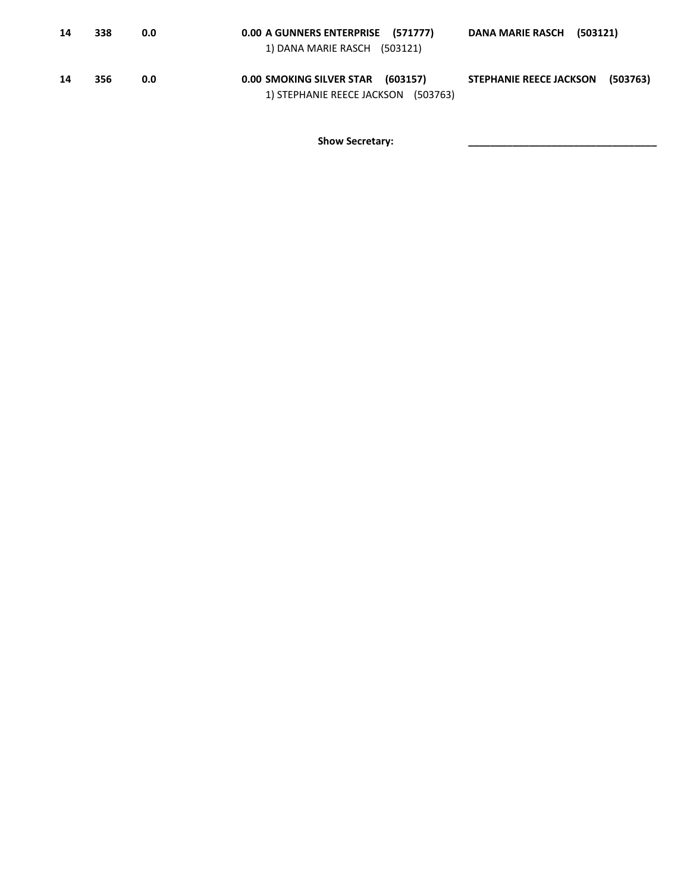| 14 | 338 | 0.0 | 0.00 A GUNNERS ENTERPRISE (571777)<br>1) DANA MARIE RASCH (503121)       | DANA MARIE RASCH (503121)                  |
|----|-----|-----|--------------------------------------------------------------------------|--------------------------------------------|
| 14 | 356 | 0.0 | 0.00 SMOKING SILVER STAR (603157)<br>1) STEPHANIE REECE JACKSON (503763) | <b>STEPHANIE REECE JACKSON</b><br>(503763) |

Show Secretary: